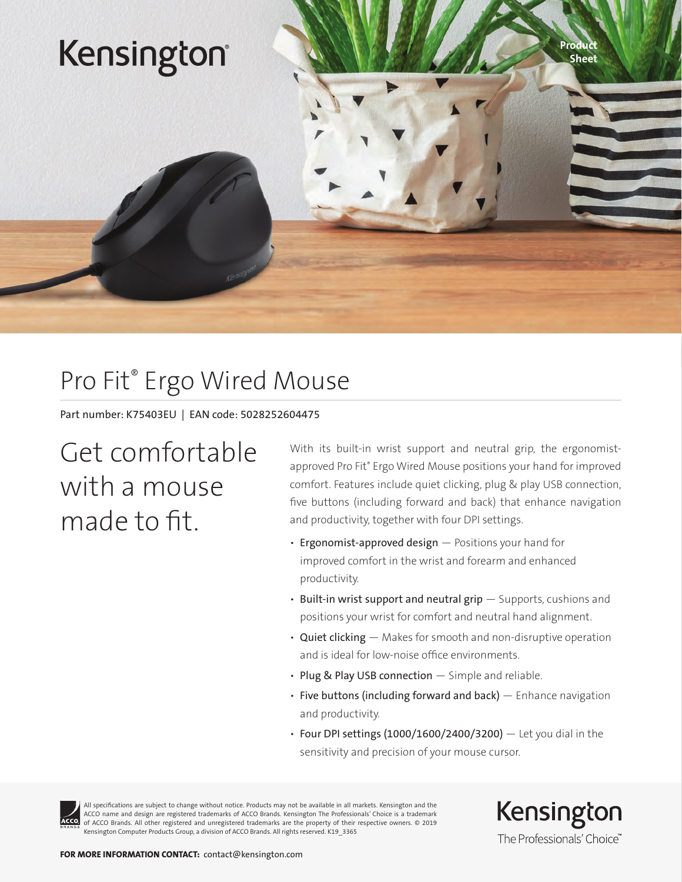## Kensington®

## Pro Fit® Ergo Wired Mouse

Part number: K75403EU | EAN code: 5028252604475

## Get comfortable with a mouse made to fit.

With its built-in wrist support and neutral grip, the ergonomistapproved Pro Fit® Ergo Wired Mouse positions your hand for improved comfort. Features include quiet clicking, plug & play USB connection, five buttons (including forward and back) that enhance navigation and productivity, together with four DPI settings.

- Ergonomist-approved design Positions your hand for improved comfort in the wrist and forearm and enhanced productivity.
- Built-in wrist support and neutral grip  $-$  Supports, cushions and positions your wrist for comfort and neutral hand alignment.
- Quiet clicking Makes for smooth and non-disruptive operation and is ideal for low-noise office environments.
- Plug & Play USB connection Simple and reliable.
- $\cdot$  Five buttons (including forward and back)  $-$  Enhance navigation and productivity.
- Four DPI settings  $(1000/1600/2400/3200)$  Let you dial in the sensitivity and precision of your mouse cursor.



All specifications are subject to change without notice. Products may not be available in all markets. Kensington and the ACCO name and design are registered trademarks of ACCO Brands. Kensington The Professionals' Choice is a trademark of ACCO Brands. All other registered and unregistered trademarks are the property of their respective owners. © 2019 Kensington Computer Products Group, a division of ACCO Brands. All rights reserved. K19\_3365

Kensington The Professionals' Choice"

Product Sheet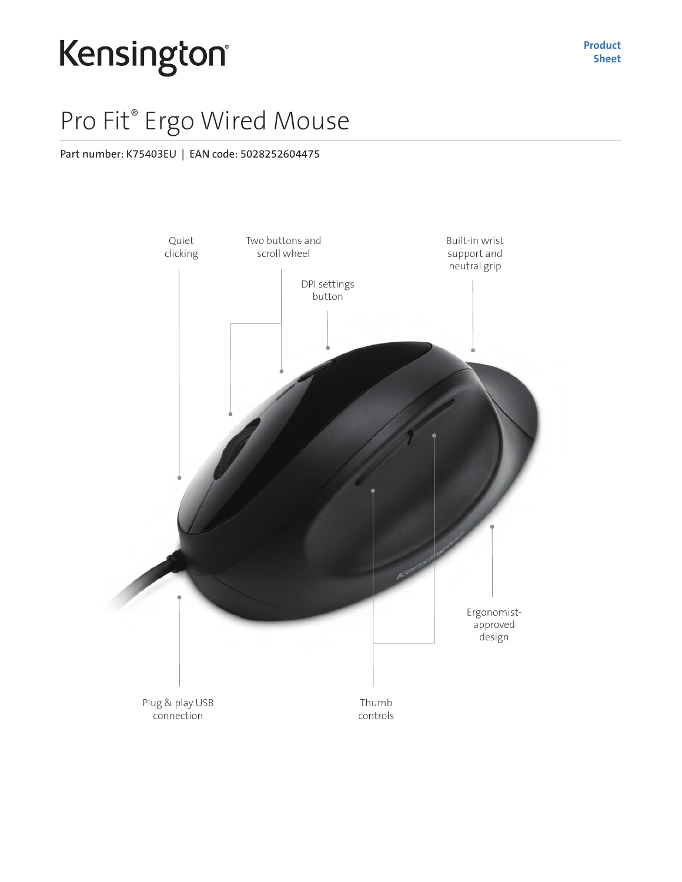# Kensington®

### Pro Fit® Ergo Wired Mouse

#### Part number: K75403EU | EAN code: 5028252604475